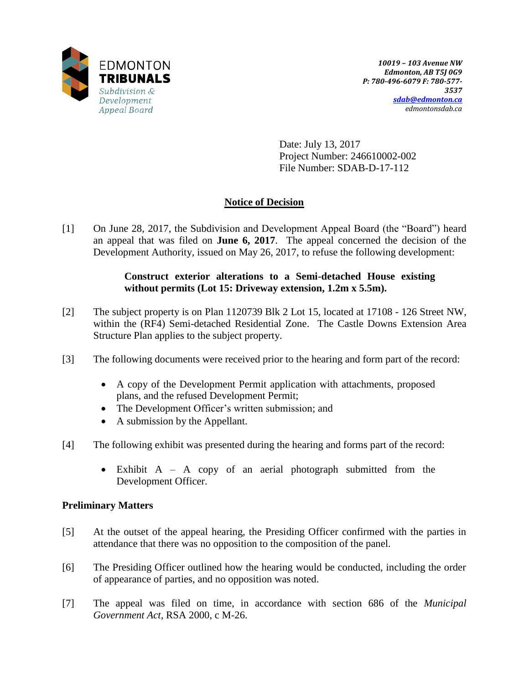

Date: July 13, 2017 Project Number: 246610002-002 File Number: SDAB-D-17-112

# **Notice of Decision**

[1] On June 28, 2017, the Subdivision and Development Appeal Board (the "Board") heard an appeal that was filed on **June 6, 2017**. The appeal concerned the decision of the Development Authority, issued on May 26, 2017, to refuse the following development:

## **Construct exterior alterations to a Semi-detached House existing without permits (Lot 15: Driveway extension, 1.2m x 5.5m).**

- [2] The subject property is on Plan 1120739 Blk 2 Lot 15, located at 17108 126 Street NW, within the (RF4) Semi-detached Residential Zone. The Castle Downs Extension Area Structure Plan applies to the subject property.
- [3] The following documents were received prior to the hearing and form part of the record:
	- A copy of the Development Permit application with attachments, proposed plans, and the refused Development Permit;
	- The Development Officer's written submission; and
	- A submission by the Appellant.
- [4] The following exhibit was presented during the hearing and forms part of the record:
	- Exhibit A A copy of an aerial photograph submitted from the Development Officer.

# **Preliminary Matters**

- [5] At the outset of the appeal hearing, the Presiding Officer confirmed with the parties in attendance that there was no opposition to the composition of the panel.
- [6] The Presiding Officer outlined how the hearing would be conducted, including the order of appearance of parties, and no opposition was noted.
- [7] The appeal was filed on time, in accordance with section 686 of the *Municipal Government Act*, RSA 2000, c M-26.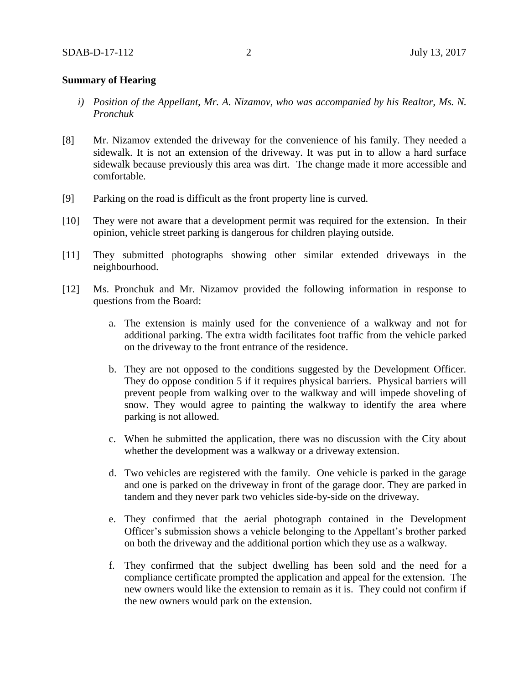### **Summary of Hearing**

- *i) Position of the Appellant, Mr. A. Nizamov, who was accompanied by his Realtor, Ms. N. Pronchuk*
- [8] Mr. Nizamov extended the driveway for the convenience of his family. They needed a sidewalk. It is not an extension of the driveway. It was put in to allow a hard surface sidewalk because previously this area was dirt. The change made it more accessible and comfortable.
- [9] Parking on the road is difficult as the front property line is curved.
- [10] They were not aware that a development permit was required for the extension. In their opinion, vehicle street parking is dangerous for children playing outside.
- [11] They submitted photographs showing other similar extended driveways in the neighbourhood.
- [12] Ms. Pronchuk and Mr. Nizamov provided the following information in response to questions from the Board:
	- a. The extension is mainly used for the convenience of a walkway and not for additional parking. The extra width facilitates foot traffic from the vehicle parked on the driveway to the front entrance of the residence.
	- b. They are not opposed to the conditions suggested by the Development Officer. They do oppose condition 5 if it requires physical barriers. Physical barriers will prevent people from walking over to the walkway and will impede shoveling of snow. They would agree to painting the walkway to identify the area where parking is not allowed.
	- c. When he submitted the application, there was no discussion with the City about whether the development was a walkway or a driveway extension.
	- d. Two vehicles are registered with the family. One vehicle is parked in the garage and one is parked on the driveway in front of the garage door. They are parked in tandem and they never park two vehicles side-by-side on the driveway.
	- e. They confirmed that the aerial photograph contained in the Development Officer's submission shows a vehicle belonging to the Appellant's brother parked on both the driveway and the additional portion which they use as a walkway.
	- f. They confirmed that the subject dwelling has been sold and the need for a compliance certificate prompted the application and appeal for the extension. The new owners would like the extension to remain as it is. They could not confirm if the new owners would park on the extension.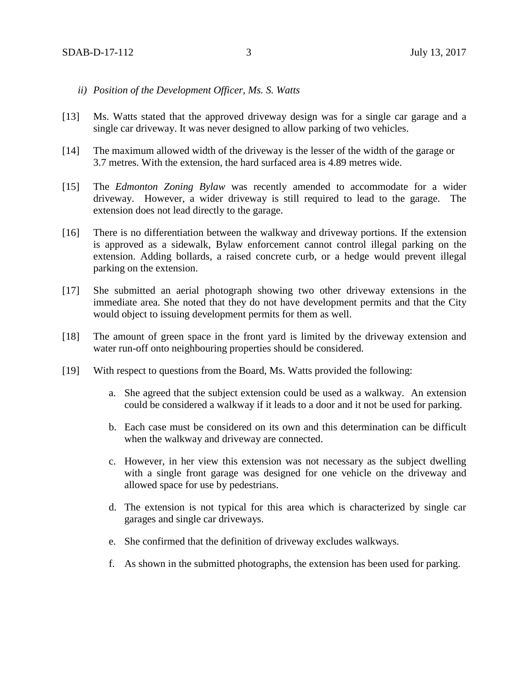- *ii) Position of the Development Officer, Ms. S. Watts*
- [13] Ms. Watts stated that the approved driveway design was for a single car garage and a single car driveway. It was never designed to allow parking of two vehicles.
- [14] The maximum allowed width of the driveway is the lesser of the width of the garage or 3.7 metres. With the extension, the hard surfaced area is 4.89 metres wide.
- [15] The *Edmonton Zoning Bylaw* was recently amended to accommodate for a wider driveway. However, a wider driveway is still required to lead to the garage. The extension does not lead directly to the garage.
- [16] There is no differentiation between the walkway and driveway portions. If the extension is approved as a sidewalk, Bylaw enforcement cannot control illegal parking on the extension. Adding bollards, a raised concrete curb, or a hedge would prevent illegal parking on the extension.
- [17] She submitted an aerial photograph showing two other driveway extensions in the immediate area. She noted that they do not have development permits and that the City would object to issuing development permits for them as well.
- [18] The amount of green space in the front yard is limited by the driveway extension and water run-off onto neighbouring properties should be considered.
- [19] With respect to questions from the Board, Ms. Watts provided the following:
	- a. She agreed that the subject extension could be used as a walkway. An extension could be considered a walkway if it leads to a door and it not be used for parking.
	- b. Each case must be considered on its own and this determination can be difficult when the walkway and driveway are connected.
	- c. However, in her view this extension was not necessary as the subject dwelling with a single front garage was designed for one vehicle on the driveway and allowed space for use by pedestrians.
	- d. The extension is not typical for this area which is characterized by single car garages and single car driveways.
	- e. She confirmed that the definition of driveway excludes walkways.
	- f. As shown in the submitted photographs, the extension has been used for parking.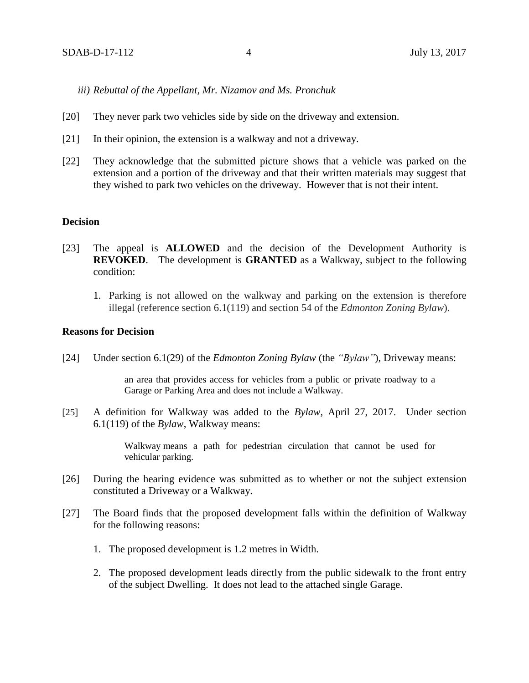*iii) Rebuttal of the Appellant, Mr. Nizamov and Ms. Pronchuk* 

- [20] They never park two vehicles side by side on the driveway and extension.
- [21] In their opinion, the extension is a walkway and not a driveway.
- [22] They acknowledge that the submitted picture shows that a vehicle was parked on the extension and a portion of the driveway and that their written materials may suggest that they wished to park two vehicles on the driveway. However that is not their intent.

#### **Decision**

- [23] The appeal is **ALLOWED** and the decision of the Development Authority is **REVOKED**. The development is **GRANTED** as a Walkway, subject to the following condition:
	- 1. Parking is not allowed on the walkway and parking on the extension is therefore illegal (reference section 6.1(119) and section 54 of the *Edmonton Zoning Bylaw*).

### **Reasons for Decision**

[24] Under section 6.1(29) of the *Edmonton Zoning Bylaw* (the *"Bylaw"*)*,* Driveway means:

an area that provides access for vehicles from a public or private roadway to a Garage or Parking Area and does not include a Walkway.

[25] A definition for Walkway was added to the *Bylaw*, April 27, 2017. Under section 6.1(119) of the *Bylaw*, Walkway means:

> Walkway means a path for pedestrian circulation that cannot be used for vehicular parking.

- [26] During the hearing evidence was submitted as to whether or not the subject extension constituted a Driveway or a Walkway.
- [27] The Board finds that the proposed development falls within the definition of Walkway for the following reasons:
	- 1. The proposed development is 1.2 metres in Width.
	- 2. The proposed development leads directly from the public sidewalk to the front entry of the subject Dwelling. It does not lead to the attached single Garage.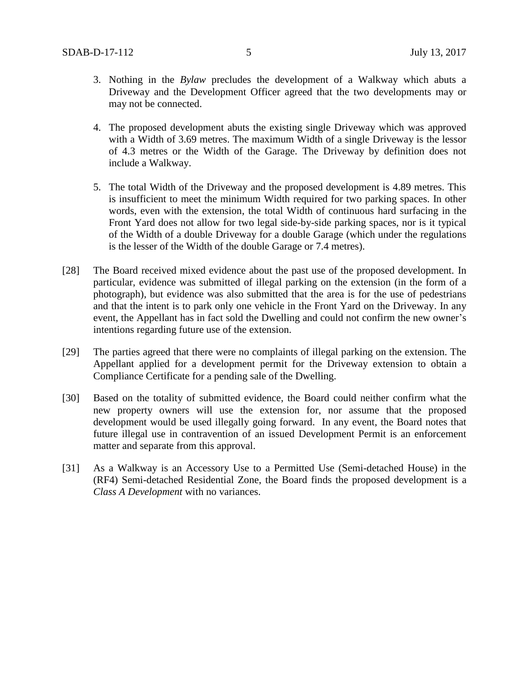- 3. Nothing in the *Bylaw* precludes the development of a Walkway which abuts a Driveway and the Development Officer agreed that the two developments may or may not be connected.
- 4. The proposed development abuts the existing single Driveway which was approved with a Width of 3.69 metres. The maximum Width of a single Driveway is the lessor of 4.3 metres or the Width of the Garage. The Driveway by definition does not include a Walkway.
- 5. The total Width of the Driveway and the proposed development is 4.89 metres. This is insufficient to meet the minimum Width required for two parking spaces. In other words, even with the extension, the total Width of continuous hard surfacing in the Front Yard does not allow for two legal side-by-side parking spaces, nor is it typical of the Width of a double Driveway for a double Garage (which under the regulations is the lesser of the Width of the double Garage or 7.4 metres).
- [28] The Board received mixed evidence about the past use of the proposed development. In particular, evidence was submitted of illegal parking on the extension (in the form of a photograph), but evidence was also submitted that the area is for the use of pedestrians and that the intent is to park only one vehicle in the Front Yard on the Driveway. In any event, the Appellant has in fact sold the Dwelling and could not confirm the new owner's intentions regarding future use of the extension.
- [29] The parties agreed that there were no complaints of illegal parking on the extension. The Appellant applied for a development permit for the Driveway extension to obtain a Compliance Certificate for a pending sale of the Dwelling.
- [30] Based on the totality of submitted evidence, the Board could neither confirm what the new property owners will use the extension for, nor assume that the proposed development would be used illegally going forward. In any event, the Board notes that future illegal use in contravention of an issued Development Permit is an enforcement matter and separate from this approval.
- [31] As a Walkway is an Accessory Use to a Permitted Use (Semi-detached House) in the (RF4) Semi-detached Residential Zone, the Board finds the proposed development is a *Class A Development* with no variances.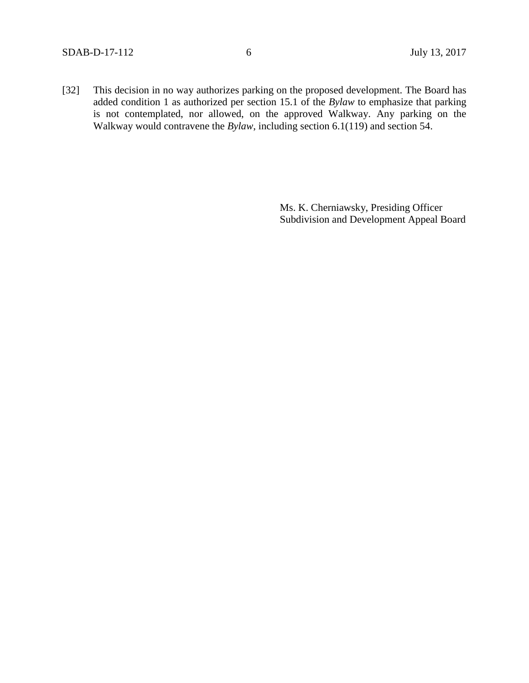[32] This decision in no way authorizes parking on the proposed development. The Board has added condition 1 as authorized per section 15.1 of the *Bylaw* to emphasize that parking is not contemplated, nor allowed, on the approved Walkway. Any parking on the Walkway would contravene the *Bylaw*, including section 6.1(119) and section 54.

> Ms. K. Cherniawsky, Presiding Officer Subdivision and Development Appeal Board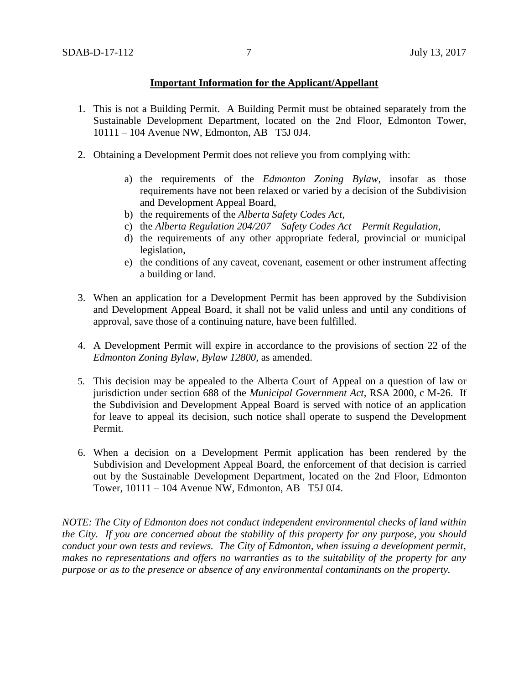## **Important Information for the Applicant/Appellant**

- 1. This is not a Building Permit. A Building Permit must be obtained separately from the Sustainable Development Department, located on the 2nd Floor, Edmonton Tower, 10111 – 104 Avenue NW, Edmonton, AB T5J 0J4.
- 2. Obtaining a Development Permit does not relieve you from complying with:
	- a) the requirements of the *Edmonton Zoning Bylaw*, insofar as those requirements have not been relaxed or varied by a decision of the Subdivision and Development Appeal Board,
	- b) the requirements of the *Alberta Safety Codes Act*,
	- c) the *Alberta Regulation 204/207 – Safety Codes Act – Permit Regulation*,
	- d) the requirements of any other appropriate federal, provincial or municipal legislation,
	- e) the conditions of any caveat, covenant, easement or other instrument affecting a building or land.
- 3. When an application for a Development Permit has been approved by the Subdivision and Development Appeal Board, it shall not be valid unless and until any conditions of approval, save those of a continuing nature, have been fulfilled.
- 4. A Development Permit will expire in accordance to the provisions of section 22 of the *Edmonton Zoning Bylaw, Bylaw 12800*, as amended.
- 5. This decision may be appealed to the Alberta Court of Appeal on a question of law or jurisdiction under section 688 of the *Municipal Government Act*, RSA 2000, c M-26. If the Subdivision and Development Appeal Board is served with notice of an application for leave to appeal its decision, such notice shall operate to suspend the Development Permit.
- 6. When a decision on a Development Permit application has been rendered by the Subdivision and Development Appeal Board, the enforcement of that decision is carried out by the Sustainable Development Department, located on the 2nd Floor, Edmonton Tower, 10111 – 104 Avenue NW, Edmonton, AB T5J 0J4.

*NOTE: The City of Edmonton does not conduct independent environmental checks of land within the City. If you are concerned about the stability of this property for any purpose, you should conduct your own tests and reviews. The City of Edmonton, when issuing a development permit, makes no representations and offers no warranties as to the suitability of the property for any purpose or as to the presence or absence of any environmental contaminants on the property.*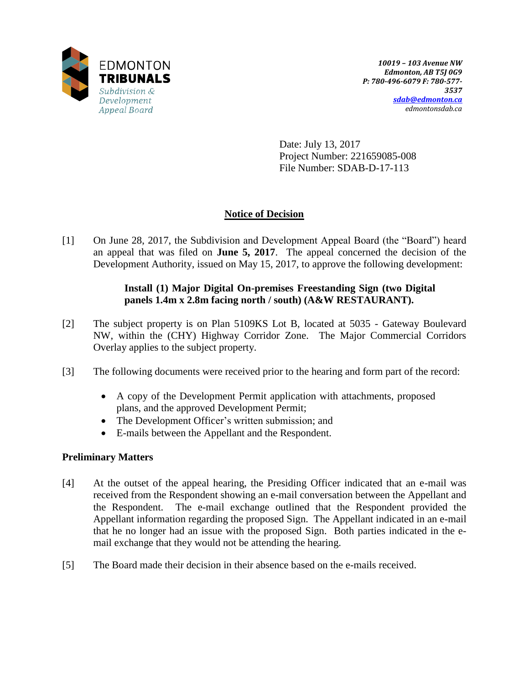

Date: July 13, 2017 Project Number: 221659085-008 File Number: SDAB-D-17-113

# **Notice of Decision**

[1] On June 28, 2017, the Subdivision and Development Appeal Board (the "Board") heard an appeal that was filed on **June 5, 2017**. The appeal concerned the decision of the Development Authority, issued on May 15, 2017, to approve the following development:

# **Install (1) Major Digital On-premises Freestanding Sign (two Digital panels 1.4m x 2.8m facing north / south) (A&W RESTAURANT).**

- [2] The subject property is on Plan 5109KS Lot B, located at 5035 Gateway Boulevard NW, within the (CHY) Highway Corridor Zone. The Major Commercial Corridors Overlay applies to the subject property.
- [3] The following documents were received prior to the hearing and form part of the record:
	- A copy of the Development Permit application with attachments, proposed plans, and the approved Development Permit;
	- The Development Officer's written submission; and
	- E-mails between the Appellant and the Respondent.

# **Preliminary Matters**

- [4] At the outset of the appeal hearing, the Presiding Officer indicated that an e-mail was received from the Respondent showing an e-mail conversation between the Appellant and the Respondent. The e-mail exchange outlined that the Respondent provided the Appellant information regarding the proposed Sign. The Appellant indicated in an e-mail that he no longer had an issue with the proposed Sign. Both parties indicated in the email exchange that they would not be attending the hearing.
- [5] The Board made their decision in their absence based on the e-mails received.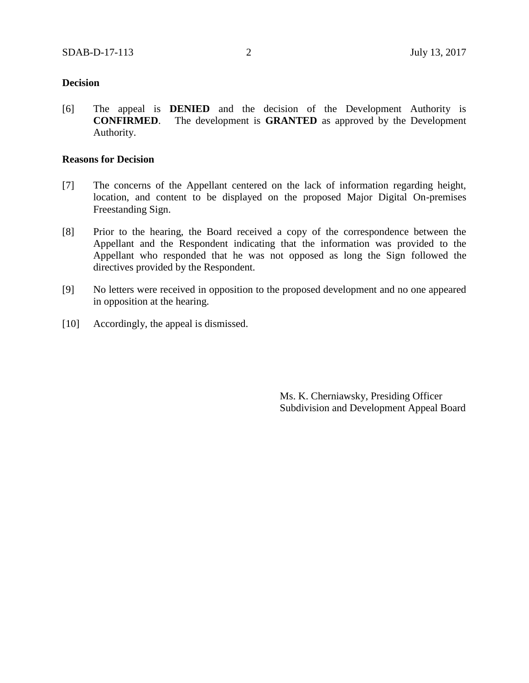### **Decision**

[6] The appeal is **DENIED** and the decision of the Development Authority is **CONFIRMED**. The development is **GRANTED** as approved by the Development Authority.

### **Reasons for Decision**

- [7] The concerns of the Appellant centered on the lack of information regarding height, location, and content to be displayed on the proposed Major Digital On-premises Freestanding Sign.
- [8] Prior to the hearing, the Board received a copy of the correspondence between the Appellant and the Respondent indicating that the information was provided to the Appellant who responded that he was not opposed as long the Sign followed the directives provided by the Respondent.
- [9] No letters were received in opposition to the proposed development and no one appeared in opposition at the hearing.
- [10] Accordingly, the appeal is dismissed.

Ms. K. Cherniawsky, Presiding Officer Subdivision and Development Appeal Board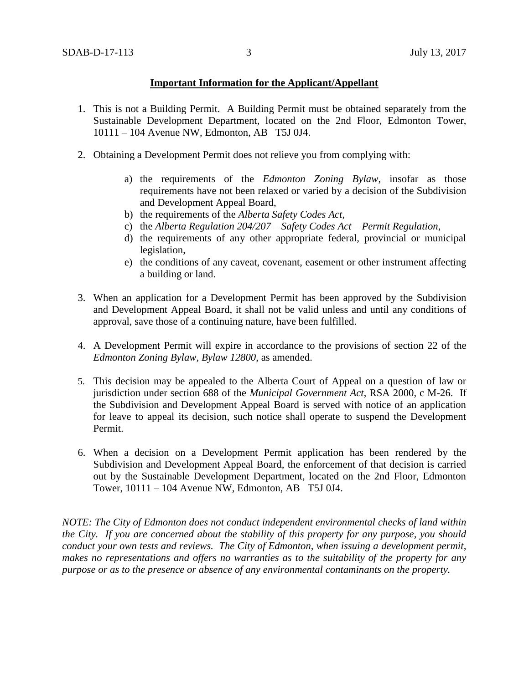## **Important Information for the Applicant/Appellant**

- 1. This is not a Building Permit. A Building Permit must be obtained separately from the Sustainable Development Department, located on the 2nd Floor, Edmonton Tower, 10111 – 104 Avenue NW, Edmonton, AB T5J 0J4.
- 2. Obtaining a Development Permit does not relieve you from complying with:
	- a) the requirements of the *Edmonton Zoning Bylaw*, insofar as those requirements have not been relaxed or varied by a decision of the Subdivision and Development Appeal Board,
	- b) the requirements of the *Alberta Safety Codes Act*,
	- c) the *Alberta Regulation 204/207 – Safety Codes Act – Permit Regulation*,
	- d) the requirements of any other appropriate federal, provincial or municipal legislation,
	- e) the conditions of any caveat, covenant, easement or other instrument affecting a building or land.
- 3. When an application for a Development Permit has been approved by the Subdivision and Development Appeal Board, it shall not be valid unless and until any conditions of approval, save those of a continuing nature, have been fulfilled.
- 4. A Development Permit will expire in accordance to the provisions of section 22 of the *Edmonton Zoning Bylaw, Bylaw 12800*, as amended.
- 5. This decision may be appealed to the Alberta Court of Appeal on a question of law or jurisdiction under section 688 of the *Municipal Government Act*, RSA 2000, c M-26. If the Subdivision and Development Appeal Board is served with notice of an application for leave to appeal its decision, such notice shall operate to suspend the Development Permit.
- 6. When a decision on a Development Permit application has been rendered by the Subdivision and Development Appeal Board, the enforcement of that decision is carried out by the Sustainable Development Department, located on the 2nd Floor, Edmonton Tower, 10111 – 104 Avenue NW, Edmonton, AB T5J 0J4.

*NOTE: The City of Edmonton does not conduct independent environmental checks of land within the City. If you are concerned about the stability of this property for any purpose, you should conduct your own tests and reviews. The City of Edmonton, when issuing a development permit, makes no representations and offers no warranties as to the suitability of the property for any purpose or as to the presence or absence of any environmental contaminants on the property.*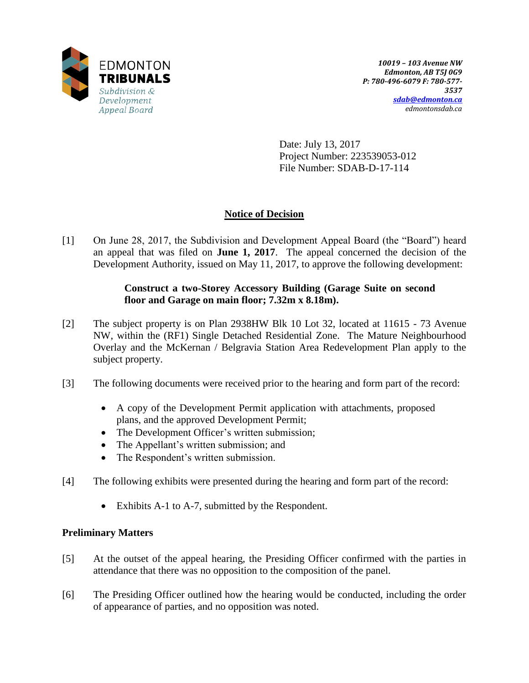

Date: July 13, 2017 Project Number: 223539053-012 File Number: SDAB-D-17-114

# **Notice of Decision**

[1] On June 28, 2017, the Subdivision and Development Appeal Board (the "Board") heard an appeal that was filed on **June 1, 2017**. The appeal concerned the decision of the Development Authority, issued on May 11, 2017, to approve the following development:

# **Construct a two-Storey Accessory Building (Garage Suite on second floor and Garage on main floor; 7.32m x 8.18m).**

- [2] The subject property is on Plan 2938HW Blk 10 Lot 32, located at 11615 73 Avenue NW, within the (RF1) Single Detached Residential Zone. The Mature Neighbourhood Overlay and the McKernan / Belgravia Station Area Redevelopment Plan apply to the subject property.
- [3] The following documents were received prior to the hearing and form part of the record:
	- A copy of the Development Permit application with attachments, proposed plans, and the approved Development Permit;
	- The Development Officer's written submission;
	- The Appellant's written submission; and
	- The Respondent's written submission.
- [4] The following exhibits were presented during the hearing and form part of the record:
	- Exhibits A-1 to A-7, submitted by the Respondent.

# **Preliminary Matters**

- [5] At the outset of the appeal hearing, the Presiding Officer confirmed with the parties in attendance that there was no opposition to the composition of the panel.
- [6] The Presiding Officer outlined how the hearing would be conducted, including the order of appearance of parties, and no opposition was noted.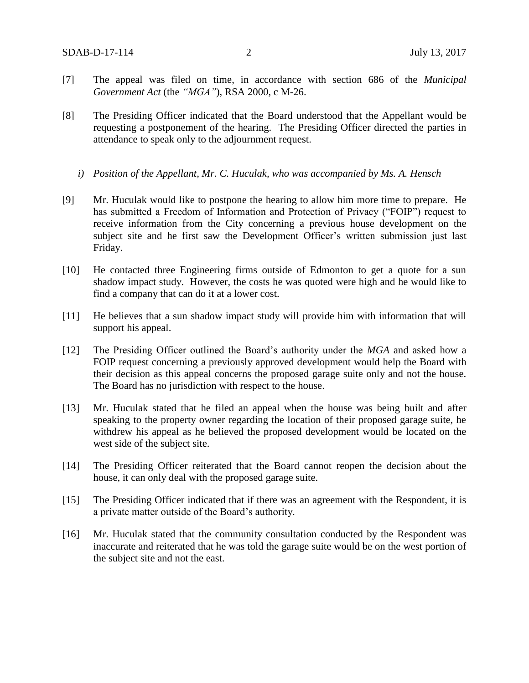- [7] The appeal was filed on time, in accordance with section 686 of the *Municipal Government Act* (the *"MGA"*), RSA 2000, c M-26.
- [8] The Presiding Officer indicated that the Board understood that the Appellant would be requesting a postponement of the hearing. The Presiding Officer directed the parties in attendance to speak only to the adjournment request.
	- *i) Position of the Appellant, Mr. C. Huculak, who was accompanied by Ms. A. Hensch*
- [9] Mr. Huculak would like to postpone the hearing to allow him more time to prepare. He has submitted a Freedom of Information and Protection of Privacy ("FOIP") request to receive information from the City concerning a previous house development on the subject site and he first saw the Development Officer's written submission just last Friday.
- [10] He contacted three Engineering firms outside of Edmonton to get a quote for a sun shadow impact study. However, the costs he was quoted were high and he would like to find a company that can do it at a lower cost.
- [11] He believes that a sun shadow impact study will provide him with information that will support his appeal.
- [12] The Presiding Officer outlined the Board's authority under the *MGA* and asked how a FOIP request concerning a previously approved development would help the Board with their decision as this appeal concerns the proposed garage suite only and not the house. The Board has no jurisdiction with respect to the house.
- [13] Mr. Huculak stated that he filed an appeal when the house was being built and after speaking to the property owner regarding the location of their proposed garage suite, he withdrew his appeal as he believed the proposed development would be located on the west side of the subject site.
- [14] The Presiding Officer reiterated that the Board cannot reopen the decision about the house, it can only deal with the proposed garage suite.
- [15] The Presiding Officer indicated that if there was an agreement with the Respondent, it is a private matter outside of the Board's authority.
- [16] Mr. Huculak stated that the community consultation conducted by the Respondent was inaccurate and reiterated that he was told the garage suite would be on the west portion of the subject site and not the east.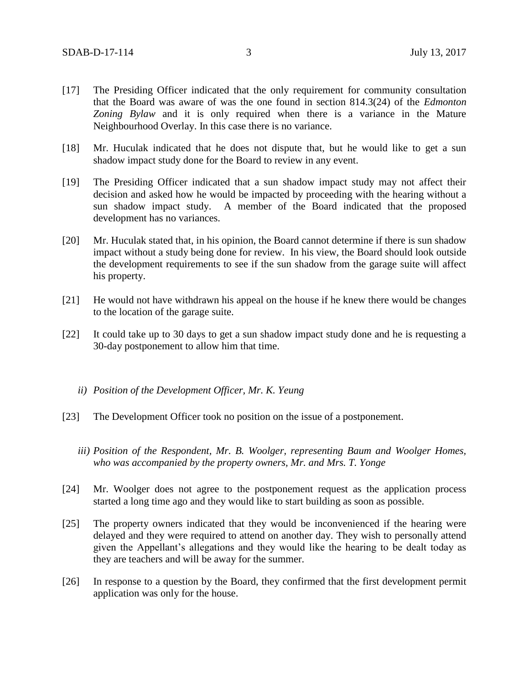- [17] The Presiding Officer indicated that the only requirement for community consultation that the Board was aware of was the one found in section 814.3(24) of the *Edmonton Zoning Bylaw* and it is only required when there is a variance in the Mature Neighbourhood Overlay. In this case there is no variance.
- [18] Mr. Huculak indicated that he does not dispute that, but he would like to get a sun shadow impact study done for the Board to review in any event.
- [19] The Presiding Officer indicated that a sun shadow impact study may not affect their decision and asked how he would be impacted by proceeding with the hearing without a sun shadow impact study. A member of the Board indicated that the proposed development has no variances.
- [20] Mr. Huculak stated that, in his opinion, the Board cannot determine if there is sun shadow impact without a study being done for review. In his view, the Board should look outside the development requirements to see if the sun shadow from the garage suite will affect his property.
- [21] He would not have withdrawn his appeal on the house if he knew there would be changes to the location of the garage suite.
- [22] It could take up to 30 days to get a sun shadow impact study done and he is requesting a 30-day postponement to allow him that time.
	- *ii) Position of the Development Officer, Mr. K. Yeung*
- [23] The Development Officer took no position on the issue of a postponement.
	- *iii) Position of the Respondent, Mr. B. Woolger, representing Baum and Woolger Homes, who was accompanied by the property owners, Mr. and Mrs. T. Yonge*
- [24] Mr. Woolger does not agree to the postponement request as the application process started a long time ago and they would like to start building as soon as possible.
- [25] The property owners indicated that they would be inconvenienced if the hearing were delayed and they were required to attend on another day. They wish to personally attend given the Appellant's allegations and they would like the hearing to be dealt today as they are teachers and will be away for the summer.
- [26] In response to a question by the Board, they confirmed that the first development permit application was only for the house.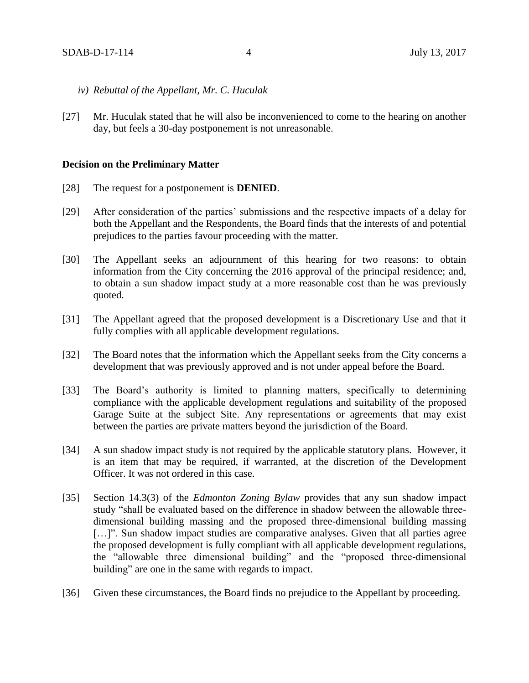- *iv) Rebuttal of the Appellant, Mr. C. Huculak*
- [27] Mr. Huculak stated that he will also be inconvenienced to come to the hearing on another day, but feels a 30-day postponement is not unreasonable.

#### **Decision on the Preliminary Matter**

- [28] The request for a postponement is **DENIED**.
- [29] After consideration of the parties' submissions and the respective impacts of a delay for both the Appellant and the Respondents, the Board finds that the interests of and potential prejudices to the parties favour proceeding with the matter.
- [30] The Appellant seeks an adjournment of this hearing for two reasons: to obtain information from the City concerning the 2016 approval of the principal residence; and, to obtain a sun shadow impact study at a more reasonable cost than he was previously quoted.
- [31] The Appellant agreed that the proposed development is a Discretionary Use and that it fully complies with all applicable development regulations.
- [32] The Board notes that the information which the Appellant seeks from the City concerns a development that was previously approved and is not under appeal before the Board.
- [33] The Board's authority is limited to planning matters, specifically to determining compliance with the applicable development regulations and suitability of the proposed Garage Suite at the subject Site. Any representations or agreements that may exist between the parties are private matters beyond the jurisdiction of the Board.
- [34] A sun shadow impact study is not required by the applicable statutory plans. However, it is an item that may be required, if warranted, at the discretion of the Development Officer. It was not ordered in this case.
- [35] Section 14.3(3) of the *Edmonton Zoning Bylaw* provides that any sun shadow impact study "shall be evaluated based on the difference in shadow between the allowable threedimensional building massing and the proposed three-dimensional building massing [...]". Sun shadow impact studies are comparative analyses. Given that all parties agree the proposed development is fully compliant with all applicable development regulations, the "allowable three dimensional building" and the "proposed three-dimensional building" are one in the same with regards to impact.
- [36] Given these circumstances, the Board finds no prejudice to the Appellant by proceeding.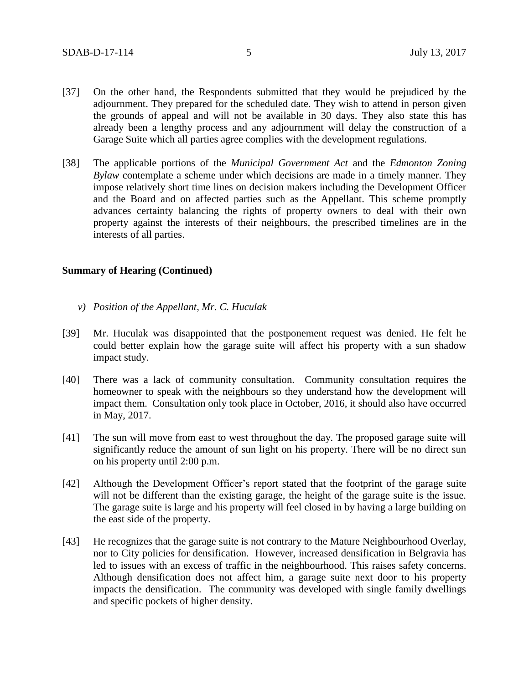- [37] On the other hand, the Respondents submitted that they would be prejudiced by the adjournment. They prepared for the scheduled date. They wish to attend in person given the grounds of appeal and will not be available in 30 days. They also state this has already been a lengthy process and any adjournment will delay the construction of a Garage Suite which all parties agree complies with the development regulations.
- [38] The applicable portions of the *Municipal Government Act* and the *Edmonton Zoning Bylaw* contemplate a scheme under which decisions are made in a timely manner. They impose relatively short time lines on decision makers including the Development Officer and the Board and on affected parties such as the Appellant. This scheme promptly advances certainty balancing the rights of property owners to deal with their own property against the interests of their neighbours, the prescribed timelines are in the interests of all parties.

### **Summary of Hearing (Continued)**

- *v) Position of the Appellant, Mr. C. Huculak*
- [39] Mr. Huculak was disappointed that the postponement request was denied. He felt he could better explain how the garage suite will affect his property with a sun shadow impact study.
- [40] There was a lack of community consultation. Community consultation requires the homeowner to speak with the neighbours so they understand how the development will impact them. Consultation only took place in October, 2016, it should also have occurred in May, 2017.
- [41] The sun will move from east to west throughout the day. The proposed garage suite will significantly reduce the amount of sun light on his property. There will be no direct sun on his property until 2:00 p.m.
- [42] Although the Development Officer's report stated that the footprint of the garage suite will not be different than the existing garage, the height of the garage suite is the issue. The garage suite is large and his property will feel closed in by having a large building on the east side of the property.
- [43] He recognizes that the garage suite is not contrary to the Mature Neighbourhood Overlay, nor to City policies for densification. However, increased densification in Belgravia has led to issues with an excess of traffic in the neighbourhood. This raises safety concerns. Although densification does not affect him, a garage suite next door to his property impacts the densification. The community was developed with single family dwellings and specific pockets of higher density.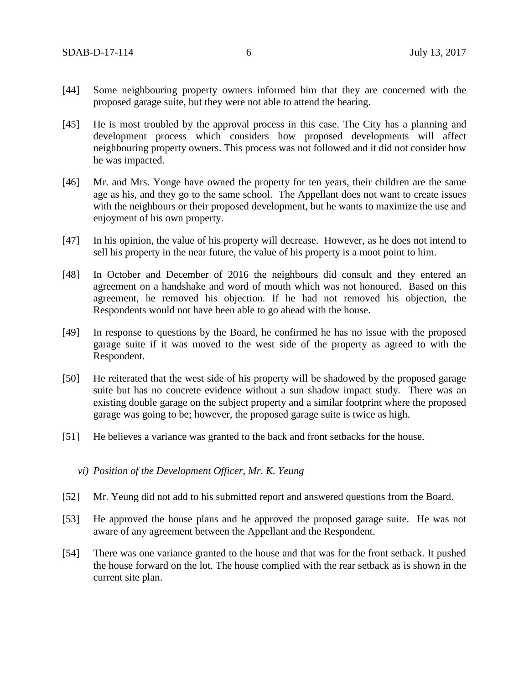- [44] Some neighbouring property owners informed him that they are concerned with the proposed garage suite, but they were not able to attend the hearing.
- [45] He is most troubled by the approval process in this case. The City has a planning and development process which considers how proposed developments will affect neighbouring property owners. This process was not followed and it did not consider how he was impacted.
- [46] Mr. and Mrs. Yonge have owned the property for ten years, their children are the same age as his, and they go to the same school. The Appellant does not want to create issues with the neighbours or their proposed development, but he wants to maximize the use and enjoyment of his own property.
- [47] In his opinion, the value of his property will decrease. However, as he does not intend to sell his property in the near future, the value of his property is a moot point to him.
- [48] In October and December of 2016 the neighbours did consult and they entered an agreement on a handshake and word of mouth which was not honoured. Based on this agreement, he removed his objection. If he had not removed his objection, the Respondents would not have been able to go ahead with the house.
- [49] In response to questions by the Board, he confirmed he has no issue with the proposed garage suite if it was moved to the west side of the property as agreed to with the Respondent.
- [50] He reiterated that the west side of his property will be shadowed by the proposed garage suite but has no concrete evidence without a sun shadow impact study. There was an existing double garage on the subject property and a similar footprint where the proposed garage was going to be; however, the proposed garage suite is twice as high.
- [51] He believes a variance was granted to the back and front setbacks for the house.
	- *vi) Position of the Development Officer, Mr. K. Yeung*
- [52] Mr. Yeung did not add to his submitted report and answered questions from the Board.
- [53] He approved the house plans and he approved the proposed garage suite. He was not aware of any agreement between the Appellant and the Respondent.
- [54] There was one variance granted to the house and that was for the front setback. It pushed the house forward on the lot. The house complied with the rear setback as is shown in the current site plan.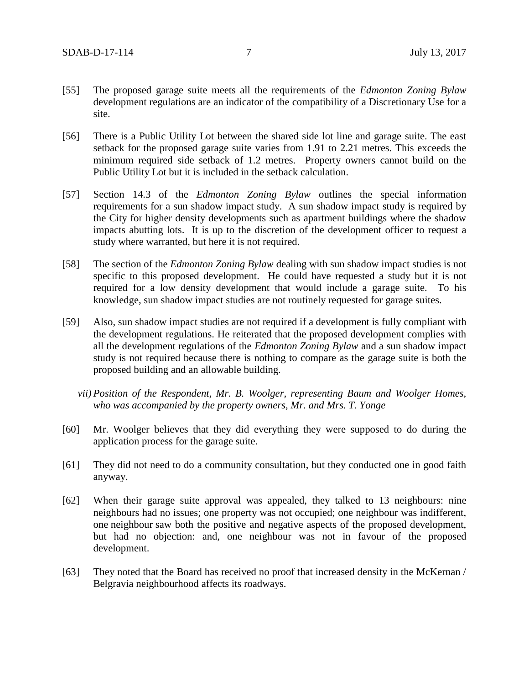- [55] The proposed garage suite meets all the requirements of the *Edmonton Zoning Bylaw* development regulations are an indicator of the compatibility of a Discretionary Use for a site.
- [56] There is a Public Utility Lot between the shared side lot line and garage suite. The east setback for the proposed garage suite varies from 1.91 to 2.21 metres. This exceeds the minimum required side setback of 1.2 metres. Property owners cannot build on the Public Utility Lot but it is included in the setback calculation.
- [57] Section 14.3 of the *Edmonton Zoning Bylaw* outlines the special information requirements for a sun shadow impact study. A sun shadow impact study is required by the City for higher density developments such as apartment buildings where the shadow impacts abutting lots. It is up to the discretion of the development officer to request a study where warranted, but here it is not required.
- [58] The section of the *Edmonton Zoning Bylaw* dealing with sun shadow impact studies is not specific to this proposed development. He could have requested a study but it is not required for a low density development that would include a garage suite. To his knowledge, sun shadow impact studies are not routinely requested for garage suites.
- [59] Also, sun shadow impact studies are not required if a development is fully compliant with the development regulations. He reiterated that the proposed development complies with all the development regulations of the *Edmonton Zoning Bylaw* and a sun shadow impact study is not required because there is nothing to compare as the garage suite is both the proposed building and an allowable building.
	- *vii) Position of the Respondent, Mr. B. Woolger, representing Baum and Woolger Homes, who was accompanied by the property owners, Mr. and Mrs. T. Yonge*
- [60] Mr. Woolger believes that they did everything they were supposed to do during the application process for the garage suite.
- [61] They did not need to do a community consultation, but they conducted one in good faith anyway.
- [62] When their garage suite approval was appealed, they talked to 13 neighbours: nine neighbours had no issues; one property was not occupied; one neighbour was indifferent, one neighbour saw both the positive and negative aspects of the proposed development, but had no objection: and, one neighbour was not in favour of the proposed development.
- [63] They noted that the Board has received no proof that increased density in the McKernan / Belgravia neighbourhood affects its roadways.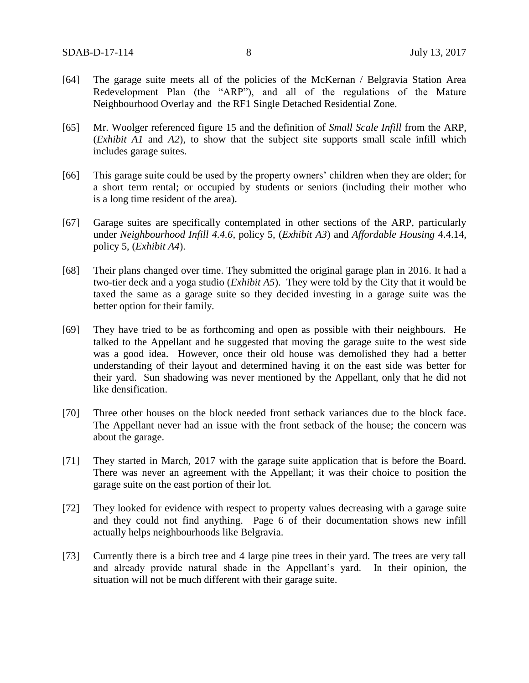- [64] The garage suite meets all of the policies of the McKernan / Belgravia Station Area Redevelopment Plan (the "ARP"), and all of the regulations of the Mature Neighbourhood Overlay and the RF1 Single Detached Residential Zone.
- [65] Mr. Woolger referenced figure 15 and the definition of *Small Scale Infill* from the ARP, (*Exhibit A1* and *A2*), to show that the subject site supports small scale infill which includes garage suites.
- [66] This garage suite could be used by the property owners' children when they are older; for a short term rental; or occupied by students or seniors (including their mother who is a long time resident of the area).
- [67] Garage suites are specifically contemplated in other sections of the ARP, particularly under *Neighbourhood Infill 4.4.6*, policy 5, (*Exhibit A3*) and *Affordable Housing* 4.4.14, policy 5, (*Exhibit A4*).
- [68] Their plans changed over time. They submitted the original garage plan in 2016. It had a two-tier deck and a yoga studio (*Exhibit A5*). They were told by the City that it would be taxed the same as a garage suite so they decided investing in a garage suite was the better option for their family.
- [69] They have tried to be as forthcoming and open as possible with their neighbours. He talked to the Appellant and he suggested that moving the garage suite to the west side was a good idea. However, once their old house was demolished they had a better understanding of their layout and determined having it on the east side was better for their yard. Sun shadowing was never mentioned by the Appellant, only that he did not like densification.
- [70] Three other houses on the block needed front setback variances due to the block face. The Appellant never had an issue with the front setback of the house; the concern was about the garage.
- [71] They started in March, 2017 with the garage suite application that is before the Board. There was never an agreement with the Appellant; it was their choice to position the garage suite on the east portion of their lot.
- [72] They looked for evidence with respect to property values decreasing with a garage suite and they could not find anything. Page 6 of their documentation shows new infill actually helps neighbourhoods like Belgravia.
- [73] Currently there is a birch tree and 4 large pine trees in their yard. The trees are very tall and already provide natural shade in the Appellant's yard. In their opinion, the situation will not be much different with their garage suite.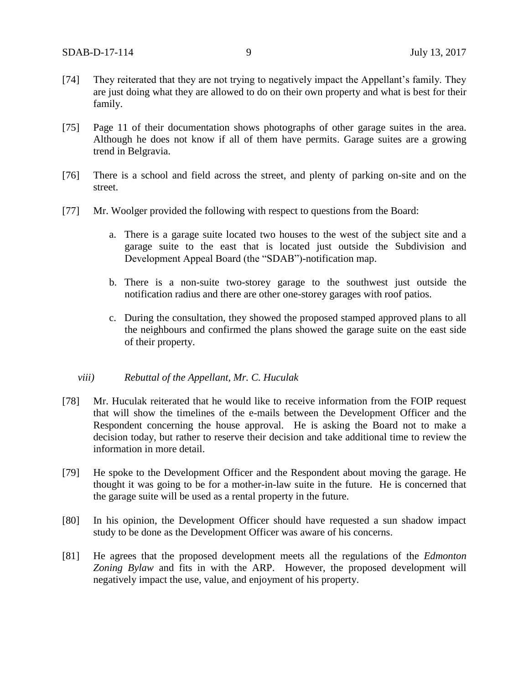- [74] They reiterated that they are not trying to negatively impact the Appellant's family. They are just doing what they are allowed to do on their own property and what is best for their family.
- [75] Page 11 of their documentation shows photographs of other garage suites in the area. Although he does not know if all of them have permits. Garage suites are a growing trend in Belgravia.
- [76] There is a school and field across the street, and plenty of parking on-site and on the street.
- [77] Mr. Woolger provided the following with respect to questions from the Board:
	- a. There is a garage suite located two houses to the west of the subject site and a garage suite to the east that is located just outside the Subdivision and Development Appeal Board (the "SDAB")-notification map.
	- b. There is a non-suite two-storey garage to the southwest just outside the notification radius and there are other one-storey garages with roof patios.
	- c. During the consultation, they showed the proposed stamped approved plans to all the neighbours and confirmed the plans showed the garage suite on the east side of their property.

#### *viii) Rebuttal of the Appellant, Mr. C. Huculak*

- [78] Mr. Huculak reiterated that he would like to receive information from the FOIP request that will show the timelines of the e-mails between the Development Officer and the Respondent concerning the house approval. He is asking the Board not to make a decision today, but rather to reserve their decision and take additional time to review the information in more detail.
- [79] He spoke to the Development Officer and the Respondent about moving the garage. He thought it was going to be for a mother-in-law suite in the future. He is concerned that the garage suite will be used as a rental property in the future.
- [80] In his opinion, the Development Officer should have requested a sun shadow impact study to be done as the Development Officer was aware of his concerns.
- [81] He agrees that the proposed development meets all the regulations of the *Edmonton Zoning Bylaw* and fits in with the ARP. However, the proposed development will negatively impact the use, value, and enjoyment of his property.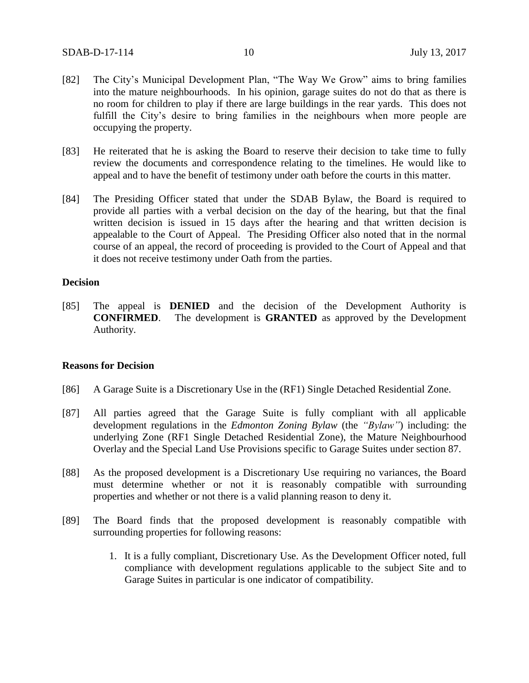- [82] The City's Municipal Development Plan, "The Way We Grow" aims to bring families into the mature neighbourhoods. In his opinion, garage suites do not do that as there is no room for children to play if there are large buildings in the rear yards. This does not fulfill the City's desire to bring families in the neighbours when more people are occupying the property.
- [83] He reiterated that he is asking the Board to reserve their decision to take time to fully review the documents and correspondence relating to the timelines. He would like to appeal and to have the benefit of testimony under oath before the courts in this matter.
- [84] The Presiding Officer stated that under the SDAB Bylaw, the Board is required to provide all parties with a verbal decision on the day of the hearing, but that the final written decision is issued in 15 days after the hearing and that written decision is appealable to the Court of Appeal. The Presiding Officer also noted that in the normal course of an appeal, the record of proceeding is provided to the Court of Appeal and that it does not receive testimony under Oath from the parties.

#### **Decision**

[85] The appeal is **DENIED** and the decision of the Development Authority is **CONFIRMED**. The development is **GRANTED** as approved by the Development Authority.

### **Reasons for Decision**

- [86] A Garage Suite is a Discretionary Use in the (RF1) Single Detached Residential Zone.
- [87] All parties agreed that the Garage Suite is fully compliant with all applicable development regulations in the *Edmonton Zoning Bylaw* (the *"Bylaw"*) including: the underlying Zone (RF1 Single Detached Residential Zone), the Mature Neighbourhood Overlay and the Special Land Use Provisions specific to Garage Suites under section 87.
- [88] As the proposed development is a Discretionary Use requiring no variances, the Board must determine whether or not it is reasonably compatible with surrounding properties and whether or not there is a valid planning reason to deny it.
- [89] The Board finds that the proposed development is reasonably compatible with surrounding properties for following reasons:
	- 1. It is a fully compliant, Discretionary Use. As the Development Officer noted, full compliance with development regulations applicable to the subject Site and to Garage Suites in particular is one indicator of compatibility.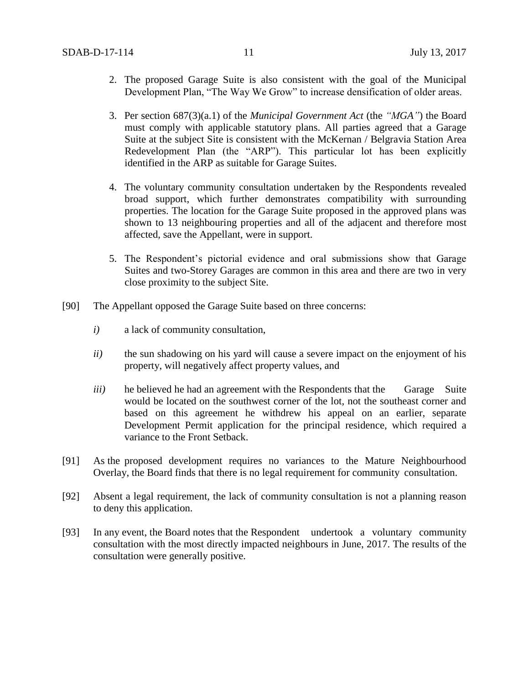- 2. The proposed Garage Suite is also consistent with the goal of the Municipal Development Plan, "The Way We Grow" to increase densification of older areas.
- 3. Per section 687(3)(a.1) of the *Municipal Government Act* (the *"MGA"*) the Board must comply with applicable statutory plans. All parties agreed that a Garage Suite at the subject Site is consistent with the McKernan / Belgravia Station Area Redevelopment Plan (the "ARP"). This particular lot has been explicitly identified in the ARP as suitable for Garage Suites.
- 4. The voluntary community consultation undertaken by the Respondents revealed broad support, which further demonstrates compatibility with surrounding properties. The location for the Garage Suite proposed in the approved plans was shown to 13 neighbouring properties and all of the adjacent and therefore most affected, save the Appellant, were in support.
- 5. The Respondent's pictorial evidence and oral submissions show that Garage Suites and two-Storey Garages are common in this area and there are two in very close proximity to the subject Site.
- [90] The Appellant opposed the Garage Suite based on three concerns:
	- *i)* a lack of community consultation,
	- *ii*) the sun shadowing on his yard will cause a severe impact on the enjoyment of his property, will negatively affect property values, and
	- *iii*) he believed he had an agreement with the Respondents that the Garage Suite would be located on the southwest corner of the lot, not the southeast corner and based on this agreement he withdrew his appeal on an earlier, separate Development Permit application for the principal residence, which required a variance to the Front Setback.
- [91] As the proposed development requires no variances to the Mature Neighbourhood Overlay, the Board finds that there is no legal requirement for community consultation.
- [92] Absent a legal requirement, the lack of community consultation is not a planning reason to deny this application.
- [93] In any event, the Board notes that the Respondent undertook a voluntary community consultation with the most directly impacted neighbours in June, 2017. The results of the consultation were generally positive.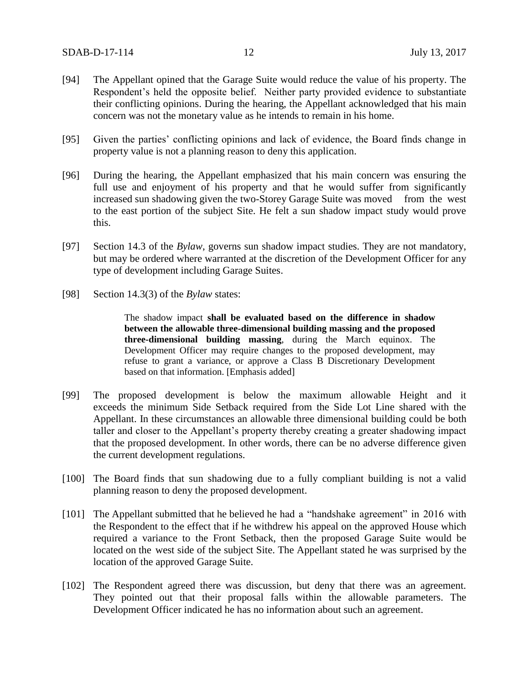- [94] The Appellant opined that the Garage Suite would reduce the value of his property. The Respondent's held the opposite belief. Neither party provided evidence to substantiate their conflicting opinions. During the hearing, the Appellant acknowledged that his main concern was not the monetary value as he intends to remain in his home.
- [95] Given the parties' conflicting opinions and lack of evidence, the Board finds change in property value is not a planning reason to deny this application.
- [96] During the hearing, the Appellant emphasized that his main concern was ensuring the full use and enjoyment of his property and that he would suffer from significantly increased sun shadowing given the two-Storey Garage Suite was moved from the west to the east portion of the subject Site. He felt a sun shadow impact study would prove this.
- [97] Section 14.3 of the *Bylaw*, governs sun shadow impact studies. They are not mandatory, but may be ordered where warranted at the discretion of the Development Officer for any type of development including Garage Suites.
- [98] Section 14.3(3) of the *Bylaw* states:

The shadow impact **shall be evaluated based on the difference in shadow between the allowable three-dimensional building massing and the proposed three-dimensional building massing**, during the March equinox. The Development Officer may require changes to the proposed development, may refuse to grant a variance, or approve a Class B Discretionary Development based on that information. [Emphasis added]

- [99] The proposed development is below the maximum allowable Height and it exceeds the minimum Side Setback required from the Side Lot Line shared with the Appellant. In these circumstances an allowable three dimensional building could be both taller and closer to the Appellant's property thereby creating a greater shadowing impact that the proposed development. In other words, there can be no adverse difference given the current development regulations.
- [100] The Board finds that sun shadowing due to a fully compliant building is not a valid planning reason to deny the proposed development.
- [101] The Appellant submitted that he believed he had a "handshake agreement" in 2016 with the Respondent to the effect that if he withdrew his appeal on the approved House which required a variance to the Front Setback, then the proposed Garage Suite would be located on the west side of the subject Site. The Appellant stated he was surprised by the location of the approved Garage Suite.
- [102] The Respondent agreed there was discussion, but deny that there was an agreement. They pointed out that their proposal falls within the allowable parameters. The Development Officer indicated he has no information about such an agreement.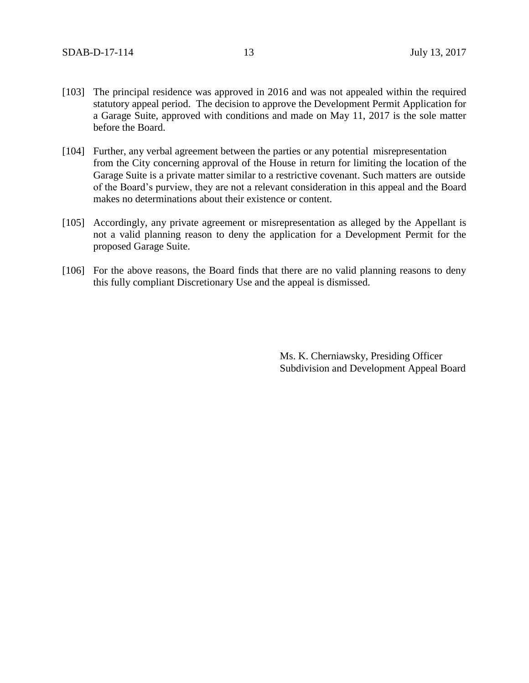- [103] The principal residence was approved in 2016 and was not appealed within the required statutory appeal period. The decision to approve the Development Permit Application for a Garage Suite, approved with conditions and made on May 11, 2017 is the sole matter before the Board.
- [104] Further, any verbal agreement between the parties or any potential misrepresentation from the City concerning approval of the House in return for limiting the location of the Garage Suite is a private matter similar to a restrictive covenant. Such matters are outside of the Board's purview, they are not a relevant consideration in this appeal and the Board makes no determinations about their existence or content.
- [105] Accordingly, any private agreement or misrepresentation as alleged by the Appellant is not a valid planning reason to deny the application for a Development Permit for the proposed Garage Suite.
- [106] For the above reasons, the Board finds that there are no valid planning reasons to deny this fully compliant Discretionary Use and the appeal is dismissed.

Ms. K. Cherniawsky, Presiding Officer Subdivision and Development Appeal Board